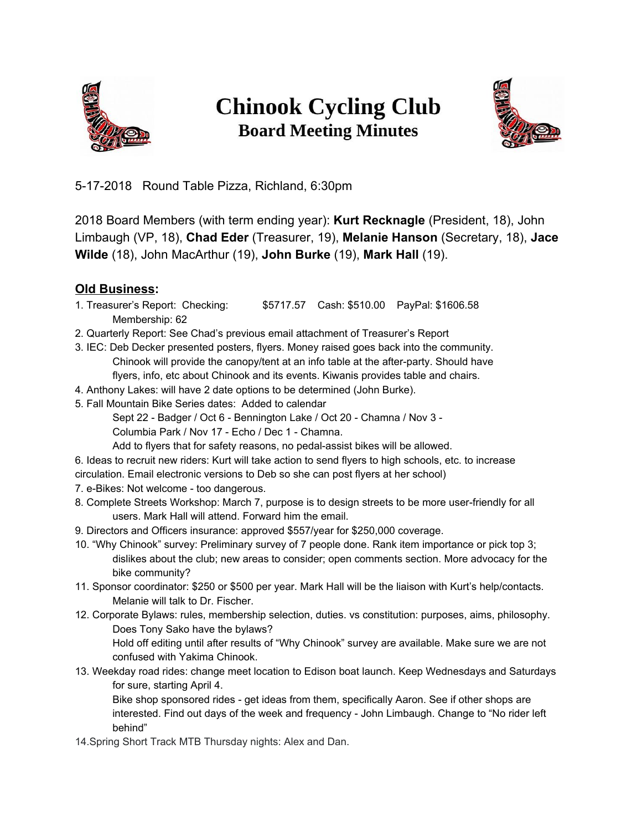

## **Chinook Cycling Club Board Meeting Minutes**



5-17-2018 Round Table Pizza, Richland, 6:30pm

2018 Board Members (with term ending year): **Kurt Recknagle** (President, 18), John Limbaugh (VP, 18), **Chad Eder** (Treasurer, 19), **Melanie Hanson** (Secretary, 18), **Jace Wilde** (18), John MacArthur (19), **John Burke** (19), **Mark Hall** (19).

- **Old Business:**<br>1. Treasurer's Report: Checking: \$5717.57 Cash: \$510.00 PayPal: \$1606.58 Membership: 62
- 2. Quarterly Report: See Chad's previous email attachment of Treasurer's Report
- 3. IEC: Deb Decker presented posters, flyers. Money raised goes back into the community. Chinook will provide the canopy/tent at an info table at the after-party. Should have flyers, info, etc about Chinook and its events. Kiwanis provides table and chairs.
- 4. Anthony Lakes: will have 2 date options to be determined (John Burke).
- 5. Fall Mountain Bike Series dates: Added to calendar
	- Sept 22 Badger / Oct 6 Bennington Lake / Oct 20 Chamna / Nov 3 -
	- Columbia Park / Nov 17 Echo / Dec 1 Chamna.
	- Add to flyers that for safety reasons, no pedal-assist bikes will be allowed.
- 6. Ideas to recruit new riders: Kurt will take action to send flyers to high schools, etc. to increase circulation. Email electronic versions to Deb so she can post flyers at her school)
- 7. e-Bikes: Not welcome too dangerous.
- 8. Complete Streets Workshop: March 7, purpose is to design streets to be more user-friendly for all users. Mark Hall will attend. Forward him the email.
- 9. Directors and Officers insurance: approved \$557/year for \$250,000 coverage.
- 10. "Why Chinook" survey: Preliminary survey of 7 people done. Rank item importance or pick top 3; dislikes about the club; new areas to consider; open comments section. More advocacy for the bike community?
- 11. Sponsor coordinator: \$250 or \$500 per year. Mark Hall will be the liaison with Kurt's help/contacts. Melanie will talk to Dr. Fischer.
- 12. Corporate Bylaws: rules, membership selection, duties. vs constitution: purposes, aims, philosophy. Does Tony Sako have the bylaws?

Hold off editing until after results of "Why Chinook" survey are available. Make sure we are not confused with Yakima Chinook.

13. Weekday road rides: change meet location to Edison boat launch. Keep Wednesdays and Saturdays for sure, starting April 4.

Bike shop sponsored rides - get ideas from them, specifically Aaron. See if other shops are interested. Find out days of the week and frequency - John Limbaugh. Change to "No rider left behind"

14.Spring Short Track MTB Thursday nights: Alex and Dan.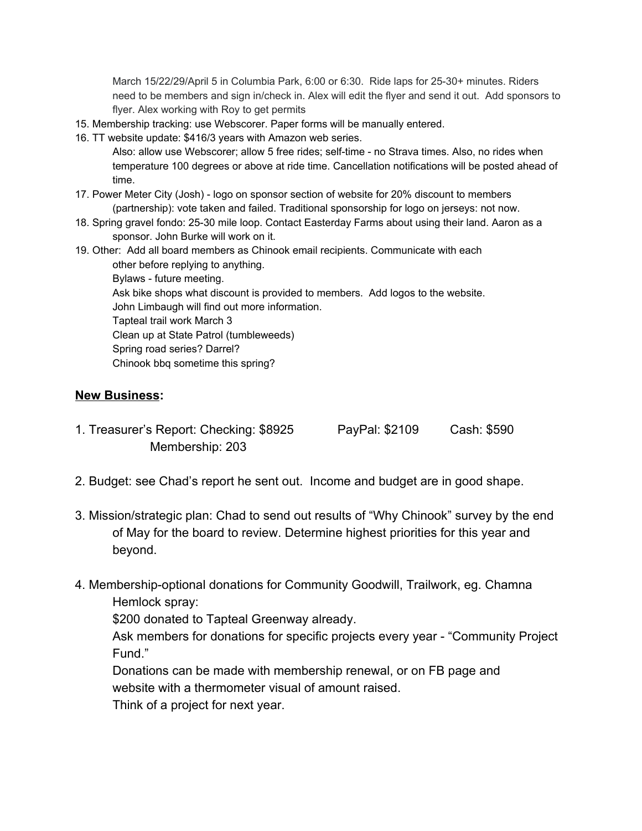March 15/22/29/April 5 in Columbia Park, 6:00 or 6:30. Ride laps for 25-30+ minutes. Riders need to be members and sign in/check in. Alex will edit the flyer and send it out. Add sponsors to flyer. Alex working with Roy to get permits

- 15. Membership tracking: use Webscorer. Paper forms will be manually entered.
- 16. TT website update: \$416/3 years with Amazon web series.

Also: allow use Webscorer; allow 5 free rides; self-time - no Strava times. Also, no rides when temperature 100 degrees or above at ride time. Cancellation notifications will be posted ahead of time.

- 17. Power Meter City (Josh) logo on sponsor section of website for 20% discount to members (partnership): vote taken and failed. Traditional sponsorship for logo on jerseys: not now.
- 18. Spring gravel fondo: 25-30 mile loop. Contact Easterday Farms about using their land. Aaron as a sponsor. John Burke will work on it.
- 19. Other: Add all board members as Chinook email recipients. Communicate with each other before replying to anything.

Bylaws - future meeting.

Ask bike shops what discount is provided to members. Add logos to the website.

John Limbaugh will find out more information.

Tapteal trail work March 3

Clean up at State Patrol (tumbleweeds)

Spring road series? Darrel?

Chinook bbq sometime this spring?

## **New Business:**

- 1. Treasurer's Report: Checking: \$8925 PayPal: \$2109 Cash: \$590 Membership: 203
- 2. Budget: see Chad's report he sent out. Income and budget are in good shape.
- 3. Mission/strategic plan: Chad to send out results of "Why Chinook" survey by the end of May for the board to review. Determine highest priorities for this year and beyond.
- 4. Membership-optional donations for Community Goodwill, Trailwork, eg. Chamna Hemlock spray:

\$200 donated to Tapteal Greenway already.

Ask members for donations for specific projects every year - "Community Project Fund."

Donations can be made with membership renewal, or on FB page and website with a thermometer visual of amount raised.

Think of a project for next year.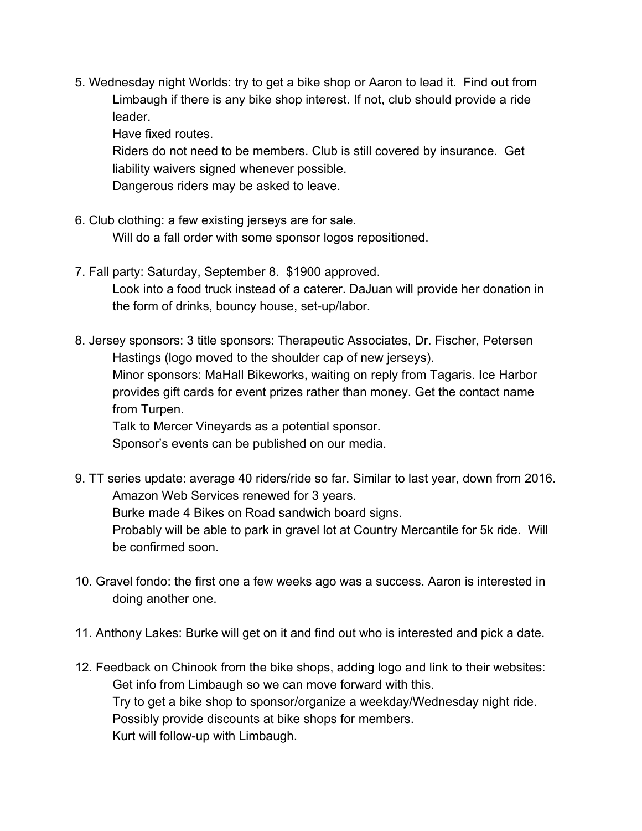5. Wednesday night Worlds: try to get a bike shop or Aaron to lead it. Find out from Limbaugh if there is any bike shop interest. If not, club should provide a ride leader.

Have fixed routes.

Riders do not need to be members. Club is still covered by insurance. Get liability waivers signed whenever possible.

Dangerous riders may be asked to leave.

- 6. Club clothing: a few existing jerseys are for sale. Will do a fall order with some sponsor logos repositioned.
- 7. Fall party: Saturday, September 8. \$1900 approved. Look into a food truck instead of a caterer. DaJuan will provide her donation in the form of drinks, bouncy house, set-up/labor.

8. Jersey sponsors: 3 title sponsors: Therapeutic Associates, Dr. Fischer, Petersen Hastings (logo moved to the shoulder cap of new jerseys). Minor sponsors: MaHall Bikeworks, waiting on reply from Tagaris. Ice Harbor provides gift cards for event prizes rather than money. Get the contact name from Turpen. Talk to Mercer Vineyards as a potential sponsor.

Sponsor's events can be published on our media.

- 9. TT series update: average 40 riders/ride so far. Similar to last year, down from 2016. Amazon Web Services renewed for 3 years. Burke made 4 Bikes on Road sandwich board signs. Probably will be able to park in gravel lot at Country Mercantile for 5k ride. Will be confirmed soon.
- 10. Gravel fondo: the first one a few weeks ago was a success. Aaron is interested in doing another one.
- 11. Anthony Lakes: Burke will get on it and find out who is interested and pick a date.
- 12. Feedback on Chinook from the bike shops, adding logo and link to their websites: Get info from Limbaugh so we can move forward with this. Try to get a bike shop to sponsor/organize a weekday/Wednesday night ride. Possibly provide discounts at bike shops for members. Kurt will follow-up with Limbaugh.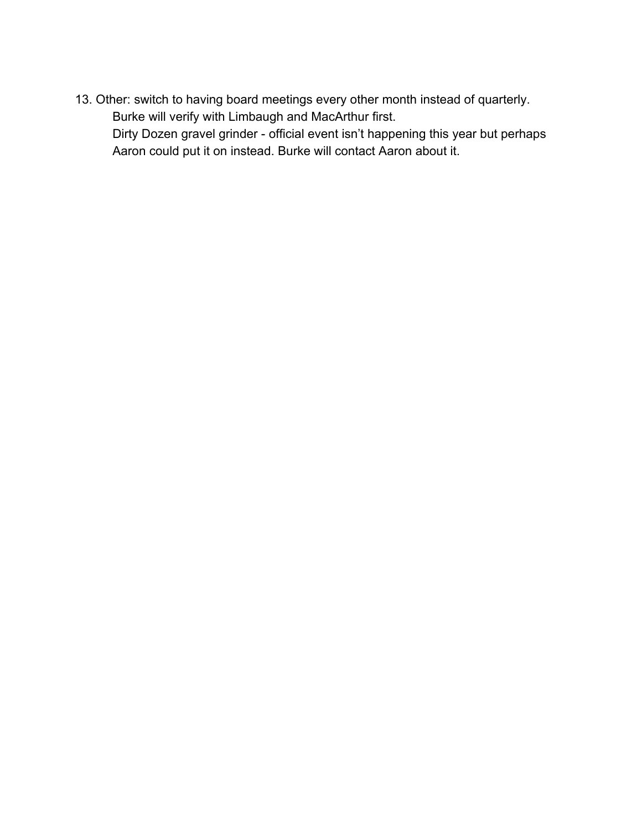13. Other: switch to having board meetings every other month instead of quarterly. Burke will verify with Limbaugh and MacArthur first.

Dirty Dozen gravel grinder - official event isn't happening this year but perhaps Aaron could put it on instead. Burke will contact Aaron about it.